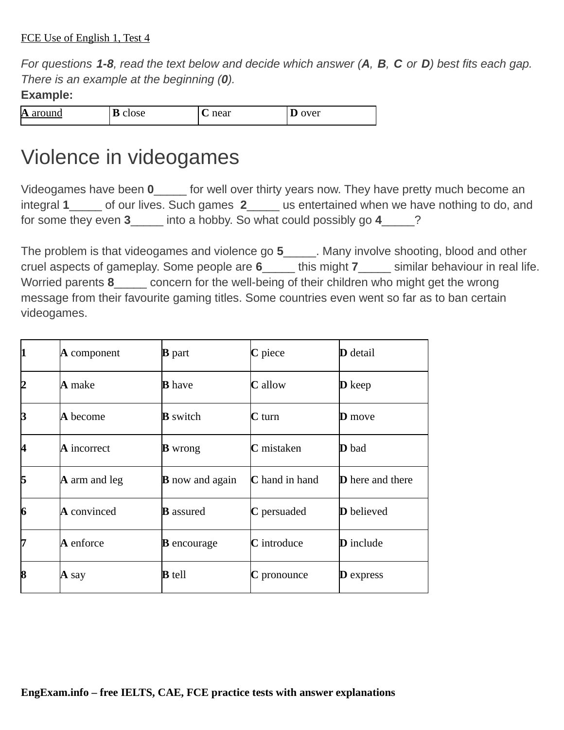*For questions 1-8, read the text below and decide which answer (А, В, C or D) best fits each gap. There is an example at the beginning (0).*

## **Example:**

| A     | $\sim$ | noor     | TOT |
|-------|--------|----------|-----|
| $  -$ | .uj    | 11 C U L | ີ   |
|       |        |          |     |

## Violence in videogames

Videogames have been **0**\_\_\_\_\_ for well over thirty years now. They have pretty much become an integral 1 of our lives. Such games 2 us entertained when we have nothing to do, and for some they even **3**\_\_\_\_\_ into a hobby. So what could possibly go **4**\_\_\_\_\_?

The problem is that videogames and violence go 5 and sharp involve shooting, blood and other cruel aspects of gameplay. Some people are **6**\_\_\_\_\_ this might **7**\_\_\_\_\_ similar behaviour in real life. Worried parents 8 concern for the well-being of their children who might get the wrong message from their favourite gaming titles. Some countries even went so far as to ban certain videogames.

| 11 | $\bm{A}$ component   | <b>B</b> part          | C piece               | <b>D</b> detail         |
|----|----------------------|------------------------|-----------------------|-------------------------|
| 12 | A make               | <b>B</b> have          | <b>C</b> allow        | $\mathbf D$ keep        |
| 3  | A become             | <b>B</b> switch        | $C$ turn              | <b>D</b> move           |
| 14 | A incorrect          | <b>B</b> wrong         | $C$ mistaken          | <b>D</b> bad            |
| 15 | $\bm{A}$ arm and leg | <b>B</b> now and again | <b>C</b> hand in hand | <b>D</b> here and there |
| 6  | A convinced          | <b>B</b> assured       | C persuaded           | <b>D</b> believed       |
| 17 | A enforce            | <b>B</b> encourage     | C introduce           | <b>D</b> include        |
| 8  | $A$ say              | <b>B</b> tell          | $\mathbf C$ pronounce | $\bf{D}$ express        |